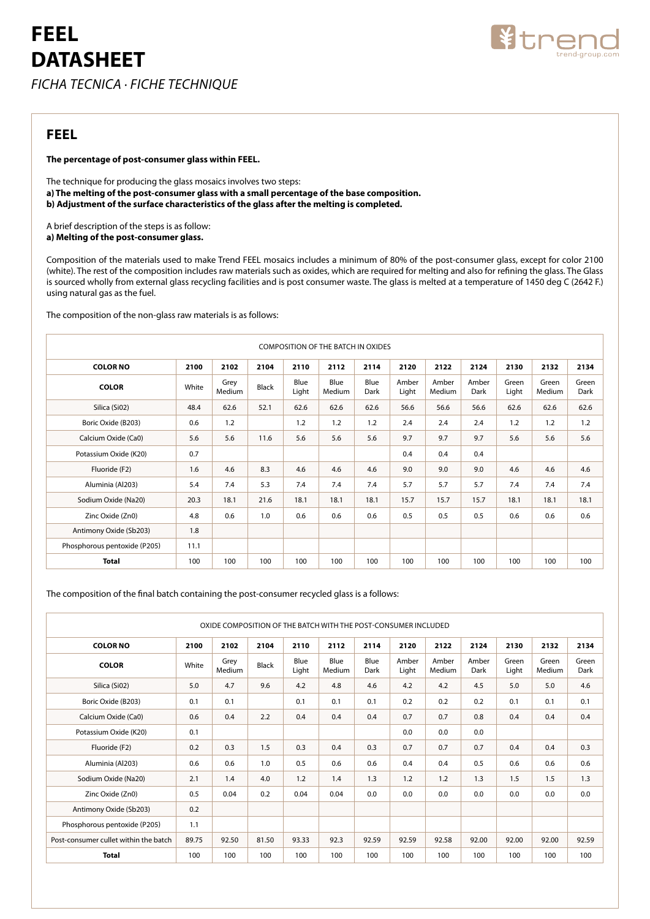# **FEEL DATASHEET** *ficha tecnica · fiche technique*



### **FEEL**

### **The percentage of post-consumer glass within FEEL.**

The technique for producing the glass mosaics involves two steps: **a) The melting of the post-consumer glass with a small percentage of the base composition. b) Adjustment of the surface characteristics of the glass after the melting is completed.**

A brief description of the steps is as follow: **a) Melting of the post-consumer glass.**

Composition of the materials used to make Trend FEEL mosaics includes a minimum of 80% of the post-consumer glass, except for color 2100 (white). The rest of the composition includes raw materials such as oxides, which are required for melting and also for refining the glass. The Glass is sourced wholly from external glass recycling facilities and is post consumer waste. The glass is melted at a temperature of 1450 deg C (2642 F.) using natural gas as the fuel.

The composition of the non-glass raw materials is as follows:

| <b>COMPOSITION OF THE BATCH IN OXIDES</b> |       |                |              |               |                |              |                |                 |               |                |                 |               |
|-------------------------------------------|-------|----------------|--------------|---------------|----------------|--------------|----------------|-----------------|---------------|----------------|-----------------|---------------|
| <b>COLOR NO</b>                           | 2100  | 2102           | 2104         | 2110          | 2112           | 2114         | 2120           | 2122            | 2124          | 2130           | 2132            | 2134          |
| <b>COLOR</b>                              | White | Grey<br>Medium | <b>Black</b> | Blue<br>Light | Blue<br>Medium | Blue<br>Dark | Amber<br>Light | Amber<br>Medium | Amber<br>Dark | Green<br>Light | Green<br>Medium | Green<br>Dark |
| Silica (Si02)                             | 48.4  | 62.6           | 52.1         | 62.6          | 62.6           | 62.6         | 56.6           | 56.6            | 56.6          | 62.6           | 62.6            | 62.6          |
| Boric Oxide (B203)                        | 0.6   | 1.2            |              | 1.2           | 1.2            | 1.2          | 2.4            | 2.4             | 2.4           | 1.2            | 1.2             | 1.2           |
| Calcium Oxide (Ca0)                       | 5.6   | 5.6            | 11.6         | 5.6           | 5.6            | 5.6          | 9.7            | 9.7             | 9.7           | 5.6            | 5.6             | 5.6           |
| Potassium Oxide (K20)                     | 0.7   |                |              |               |                |              | 0.4            | 0.4             | 0.4           |                |                 |               |
| Fluoride (F2)                             | 1.6   | 4.6            | 8.3          | 4.6           | 4.6            | 4.6          | 9.0            | 9.0             | 9.0           | 4.6            | 4.6             | 4.6           |
| Aluminia (Al203)                          | 5.4   | 7.4            | 5.3          | 7.4           | 7.4            | 7.4          | 5.7            | 5.7             | 5.7           | 7.4            | 7.4             | 7.4           |
| Sodium Oxide (Na20)                       | 20.3  | 18.1           | 21.6         | 18.1          | 18.1           | 18.1         | 15.7           | 15.7            | 15.7          | 18.1           | 18.1            | 18.1          |
| Zinc Oxide (Zn0)                          | 4.8   | 0.6            | 1.0          | 0.6           | 0.6            | 0.6          | 0.5            | 0.5             | 0.5           | 0.6            | 0.6             | 0.6           |
| Antimony Oxide (Sb203)                    | 1.8   |                |              |               |                |              |                |                 |               |                |                 |               |
| Phosphorous pentoxide (P205)              | 11.1  |                |              |               |                |              |                |                 |               |                |                 |               |
| <b>Total</b>                              | 100   | 100            | 100          | 100           | 100            | 100          | 100            | 100             | 100           | 100            | 100             | 100           |

The composition of the final batch containing the post-consumer recycled glass is a follows:

| OXIDE COMPOSITION OF THE BATCH WITH THE POST-CONSUMER INCLUDED |       |                |              |               |                |              |                |                 |               |                |                 |               |
|----------------------------------------------------------------|-------|----------------|--------------|---------------|----------------|--------------|----------------|-----------------|---------------|----------------|-----------------|---------------|
| <b>COLOR NO</b>                                                | 2100  | 2102           | 2104         | 2110          | 2112           | 2114         | 2120           | 2122            | 2124          | 2130           | 2132            | 2134          |
| <b>COLOR</b>                                                   | White | Grev<br>Medium | <b>Black</b> | Blue<br>Light | Blue<br>Medium | Blue<br>Dark | Amber<br>Light | Amber<br>Medium | Amber<br>Dark | Green<br>Light | Green<br>Medium | Green<br>Dark |
| Silica (Si02)                                                  | 5.0   | 4.7            | 9.6          | 4.2           | 4.8            | 4.6          | 4.2            | 4.2             | 4.5           | 5.0            | 5.0             | 4.6           |
| Boric Oxide (B203)                                             | 0.1   | 0.1            |              | 0.1           | 0.1            | 0.1          | 0.2            | 0.2             | 0.2           | 0.1            | 0.1             | 0.1           |
| Calcium Oxide (Ca0)                                            | 0.6   | 0.4            | 2.2          | 0.4           | 0.4            | 0.4          | 0.7            | 0.7             | 0.8           | 0.4            | 0.4             | 0.4           |
| Potassium Oxide (K20)                                          | 0.1   |                |              |               |                |              | 0.0            | 0.0             | 0.0           |                |                 |               |
| Fluoride (F2)                                                  | 0.2   | 0.3            | 1.5          | 0.3           | 0.4            | 0.3          | 0.7            | 0.7             | 0.7           | 0.4            | 0.4             | 0.3           |
| Aluminia (Al203)                                               | 0.6   | 0.6            | 1.0          | 0.5           | 0.6            | 0.6          | 0.4            | 0.4             | 0.5           | 0.6            | 0.6             | 0.6           |
| Sodium Oxide (Na20)                                            | 2.1   | 1.4            | 4.0          | 1.2           | 1.4            | 1.3          | 1.2            | 1.2             | 1.3           | 1.5            | 1.5             | 1.3           |
| Zinc Oxide (Zn0)                                               | 0.5   | 0.04           | 0.2          | 0.04          | 0.04           | 0.0          | 0.0            | 0.0             | 0.0           | 0.0            | 0.0             | 0.0           |
| Antimony Oxide (Sb203)                                         | 0.2   |                |              |               |                |              |                |                 |               |                |                 |               |
| Phosphorous pentoxide (P205)                                   | 1.1   |                |              |               |                |              |                |                 |               |                |                 |               |
| Post-consumer cullet within the batch                          | 89.75 | 92.50          | 81.50        | 93.33         | 92.3           | 92.59        | 92.59          | 92.58           | 92.00         | 92.00          | 92.00           | 92.59         |
| <b>Total</b>                                                   | 100   | 100            | 100          | 100           | 100            | 100          | 100            | 100             | 100           | 100            | 100             | 100           |